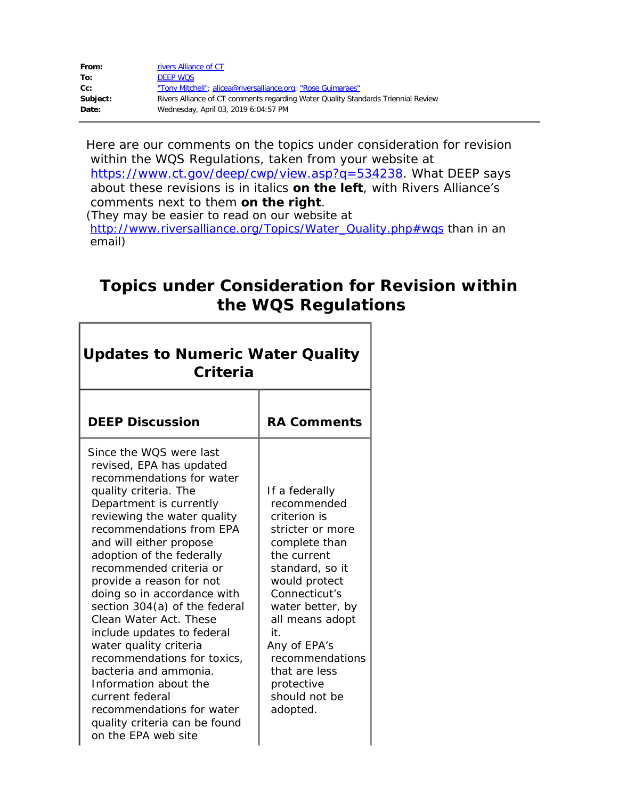| From:    | rivers Alliance of CT                                                             |
|----------|-----------------------------------------------------------------------------------|
| To:      | <b>DEEP WOS</b>                                                                   |
| cc:      | "Tony Mitchell"; alicea@riversalliance.org; "Rose Guimaraes"                      |
| Subject: | Rivers Alliance of CT comments regarding Water Quality Standards Triennial Review |
| Date:    | Wednesday, April 03, 2019 6:04:57 PM                                              |

Here are our comments on the topics under consideration for revision within the WQS Regulations, taken from your website at <https://www.ct.gov/deep/cwp/view.asp?q=534238>. W*hat DEEP says about these revisions is in italics on the left*, with Rivers Alliance's comments next to them **on the right**.

(They may be easier to read on our website at [http://www.riversalliance.org/Topics/Water\\_Quality.php#wqs](http://www.riversalliance.org/Topics/Water_Quality.php#wqs) than in an email)

## **Topics under Consideration for Revision within the WQS Regulations**

| <b>Updates to Numeric Water Quality</b><br>Criteria                                                                                                                                                                                                                                                                                                                                                                                                                                                                                                                                                                                                       |                                                                                                                                                                                                                                                                                                     |  |
|-----------------------------------------------------------------------------------------------------------------------------------------------------------------------------------------------------------------------------------------------------------------------------------------------------------------------------------------------------------------------------------------------------------------------------------------------------------------------------------------------------------------------------------------------------------------------------------------------------------------------------------------------------------|-----------------------------------------------------------------------------------------------------------------------------------------------------------------------------------------------------------------------------------------------------------------------------------------------------|--|
| <b>DEEP Discussion</b>                                                                                                                                                                                                                                                                                                                                                                                                                                                                                                                                                                                                                                    | <b>RA Comments</b>                                                                                                                                                                                                                                                                                  |  |
| Since the WOS were last<br>revised, EPA has updated<br>recommendations for water<br>quality criteria. The<br>Department is currently<br>reviewing the water quality<br>recommendations from EPA<br>and will either propose<br>adoption of the federally<br>recommended criteria or<br>provide a reason for not<br>doing so in accordance with<br>section 304(a) of the federal<br>Clean Water Act. These<br>include updates to federal<br>water quality criteria<br>recommendations for toxics,<br>bacteria and ammonia.<br>Information about the<br>current federal<br>recommendations for water<br>quality criteria can be found<br>on the FPA web site | If a federally<br>recommended<br>criterion is<br>stricter or more<br>complete than<br>the current<br>standard, so it<br>would protect<br>Connecticut's<br>water better, by<br>all means adopt<br>it.<br>Any of EPA's<br>recommendations<br>that are less<br>protective<br>should not be<br>adopted. |  |

Г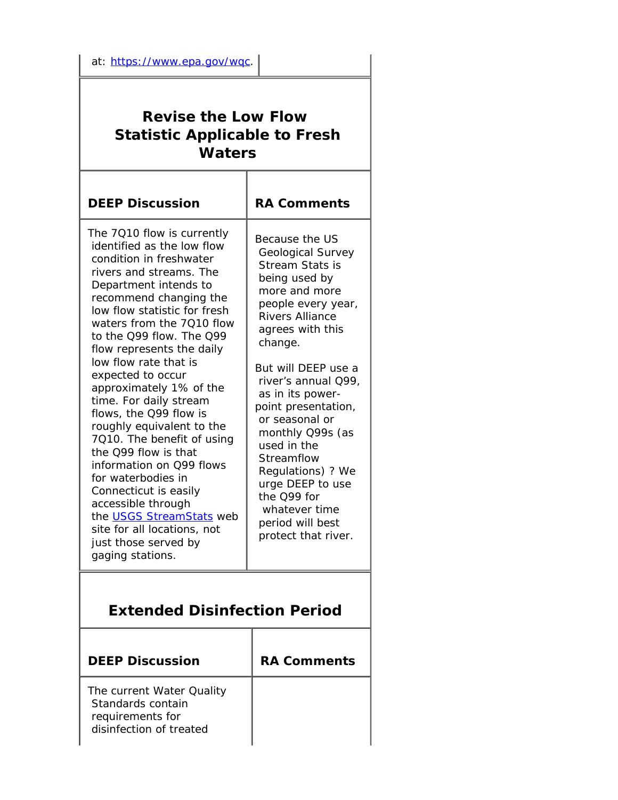## **Revise the Low Flow Statistic Applicable to Fresh Waters**

| <b>DEEP Discussion</b>                                                                                                                                                                                                                                                                                                                                                                                                                                                                                                                                                                                                                                                                                          | <b>RA Comments</b>                                                                                                                                                                                                                                                                                                                                                                                                                                      |  |  |
|-----------------------------------------------------------------------------------------------------------------------------------------------------------------------------------------------------------------------------------------------------------------------------------------------------------------------------------------------------------------------------------------------------------------------------------------------------------------------------------------------------------------------------------------------------------------------------------------------------------------------------------------------------------------------------------------------------------------|---------------------------------------------------------------------------------------------------------------------------------------------------------------------------------------------------------------------------------------------------------------------------------------------------------------------------------------------------------------------------------------------------------------------------------------------------------|--|--|
| The 7010 flow is currently<br>identified as the low flow<br>condition in freshwater<br>rivers and streams. The<br>Department intends to<br>recommend changing the<br>low flow statistic for fresh<br>waters from the 7010 flow<br>to the Q99 flow. The Q99<br>flow represents the daily<br>low flow rate that is<br>expected to occur<br>approximately 1% of the<br>time. For daily stream<br>flows, the Q99 flow is<br>roughly equivalent to the<br>7010. The benefit of using<br>the O99 flow is that<br>information on Q99 flows<br>for waterbodies in<br>Connecticut is easily<br>accessible through<br>the USGS StreamStats web<br>site for all locations, not<br>just those served by<br>gaging stations. | Because the US<br>Geological Survey<br>Stream Stats is<br>being used by<br>more and more<br>people every year,<br><b>Rivers Alliance</b><br>agrees with this<br>change.<br>But will DEEP use a<br>river's annual Q99,<br>as in its power-<br>point presentation,<br>or seasonal or<br>monthly Q99s (as<br>used in the<br>Streamflow<br>Regulations) ? We<br>urge DEEP to use<br>the Q99 for<br>whatever time<br>period will best<br>protect that river. |  |  |
| <b>Extended Disinfection Period</b>                                                                                                                                                                                                                                                                                                                                                                                                                                                                                                                                                                                                                                                                             |                                                                                                                                                                                                                                                                                                                                                                                                                                                         |  |  |
| <b>DEEP Discussion</b>                                                                                                                                                                                                                                                                                                                                                                                                                                                                                                                                                                                                                                                                                          | <b>RA Comments</b>                                                                                                                                                                                                                                                                                                                                                                                                                                      |  |  |
| The current Water Quality<br>Standards contain<br>requirements for<br>disinfection of treated                                                                                                                                                                                                                                                                                                                                                                                                                                                                                                                                                                                                                   |                                                                                                                                                                                                                                                                                                                                                                                                                                                         |  |  |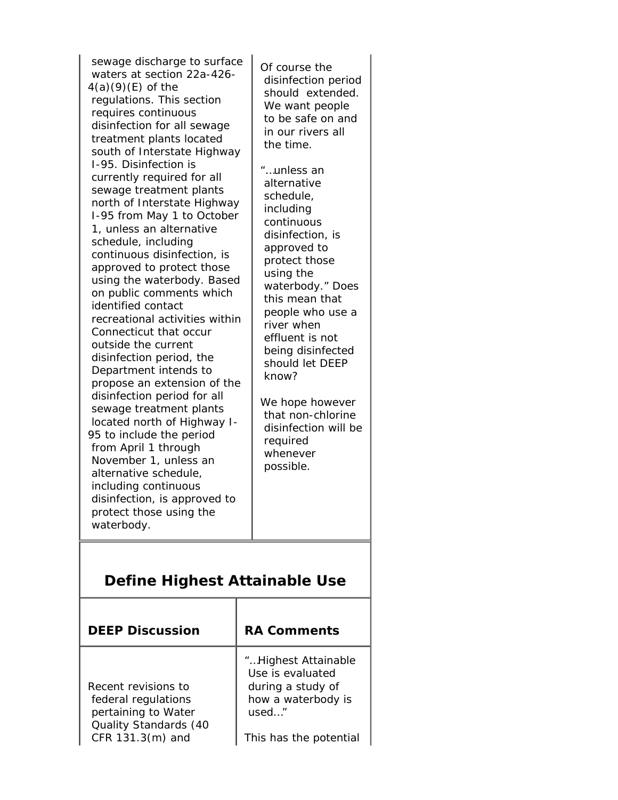*sewage discharge to surface waters at section 22a-426- 4(a)(9)(E) of the regulations. This section requires continuous disinfection for all sewage treatment plants located south of Interstate Highway I-95. Disinfection is currently required for all sewage treatment plants north of Interstate Highway I-95 from May 1 to October 1, unless an alternative schedule, including continuous disinfection, is approved to protect those using the waterbody. Based on public comments which identified contact recreational activities within Connecticut that occur outside the current disinfection period, the Department intends to propose an extension of the disinfection period for all sewage treatment plants located north of Highway I-95 to include the period from April 1 through November 1, unless an alternative schedule, including continuous disinfection, is approved to protect those using the waterbody.* **Define Highest Attainable Use DEEP Dis** 

**Recent revi** *federal* reg *pertaining Quality Standards (40 CFR 131.3(m) and*

Of course the disinfection period should extended. We want people to be safe on and in our rivers all the time.

*"…unless an alternative schedule, including continuous disinfection, is approved to protect those using the waterbody."* Does this mean that people who use a river when effluent is not being disinfected should let DEEP know?

We hope however that non-chlorine disinfection will be required whenever possible.

| scussion  | <b>RA Comments</b>                                           |  |
|-----------|--------------------------------------------------------------|--|
| isions to | "Highest Attainable<br>Use is evaluated<br>during a study of |  |
| qulations | how a waterbody is                                           |  |
| to Water  | used"                                                        |  |

This has the potential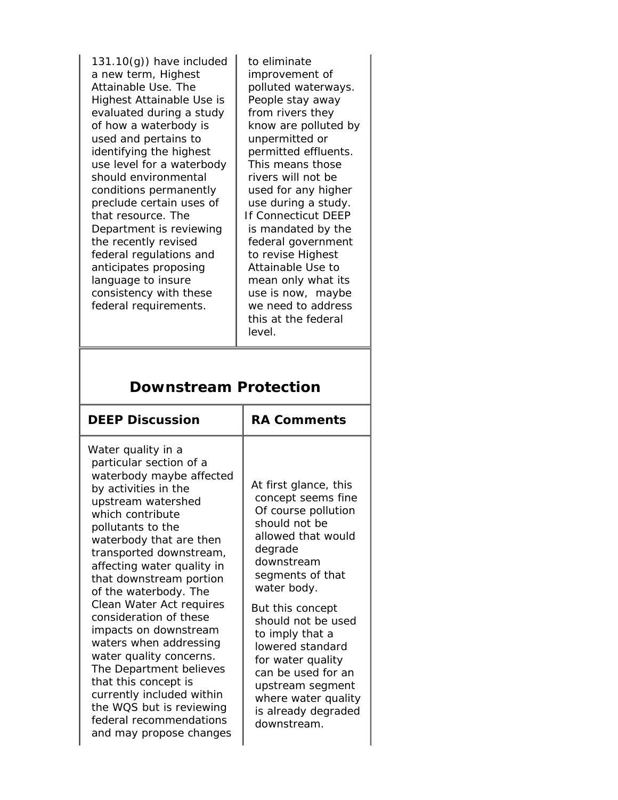*131.10(g)) have included a new term, Highest Attainable Use. The Highest Attainable Use is evaluated during a study of how a waterbody is used and pertains to identifying the highest use level for a waterbody should environmental conditions permanently preclude certain uses of that resource. The Department is reviewing the recently revised federal regulations and anticipates proposing language to insure consistency with these federal requirements*.

 to eliminate improvement of polluted waterways. People stay away from rivers they know are polluted by unpermitted or permitted effluents. This means those rivers will not be used for any higher use during a study. If Connecticut DEEP is mandated by the federal government to revise Highest Attainable Use to mean only what its use is now, maybe we need to address this at the federal level.

| <b>DEEP Discussion</b>                                                                                                                                                                                                                                                                                                                                                                                                                                                                                                                                                                                                | <b>RA Comments</b>                                                                                                                                                                                                                                                                                                                                                                 |  |
|-----------------------------------------------------------------------------------------------------------------------------------------------------------------------------------------------------------------------------------------------------------------------------------------------------------------------------------------------------------------------------------------------------------------------------------------------------------------------------------------------------------------------------------------------------------------------------------------------------------------------|------------------------------------------------------------------------------------------------------------------------------------------------------------------------------------------------------------------------------------------------------------------------------------------------------------------------------------------------------------------------------------|--|
| Water quality in a<br>particular section of a<br>waterbody maybe affected<br>by activities in the<br>upstream watershed<br>which contribute<br>pollutants to the<br>waterbody that are then<br>transported downstream,<br>affecting water quality in<br>that downstream portion<br>of the waterbody. The<br>Clean Water Act requires<br>consideration of these<br><i>impacts on downstream</i><br>waters when addressing<br>water quality concerns.<br>The Department believes<br>that this concept is<br>currently included within<br>the WQS but is reviewing<br>federal recommendations<br>and may propose changes | At first glance, this<br>concept seems fine<br>Of course pollution<br>should not be<br>allowed that would<br>degrade<br>downstream<br>segments of that<br>water body.<br>But this concept<br>should not be used<br>to imply that a<br>lowered standard<br>for water quality<br>can be used for an<br>upstream segment<br>where water quality<br>is already degraded<br>downstream. |  |

## **Downstream Protection**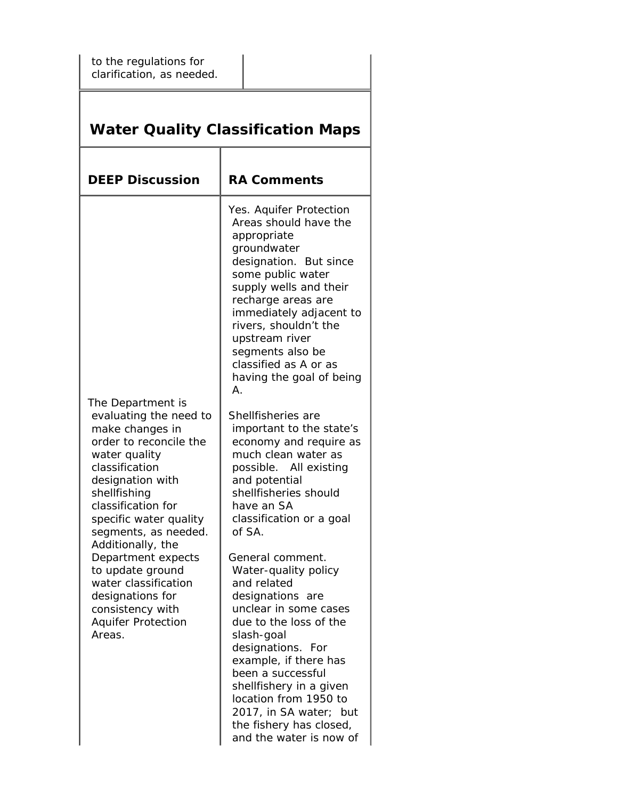| to the regulations for<br>clarification, as needed.                                                                                                                                                                                                                                                                                                                                                           |                                                                                                                                                                                                                                                                                                                                                                                                                                                                                                                                                                                                                                                                                                                                                                                                                                                                                                                         |  |  |  |
|---------------------------------------------------------------------------------------------------------------------------------------------------------------------------------------------------------------------------------------------------------------------------------------------------------------------------------------------------------------------------------------------------------------|-------------------------------------------------------------------------------------------------------------------------------------------------------------------------------------------------------------------------------------------------------------------------------------------------------------------------------------------------------------------------------------------------------------------------------------------------------------------------------------------------------------------------------------------------------------------------------------------------------------------------------------------------------------------------------------------------------------------------------------------------------------------------------------------------------------------------------------------------------------------------------------------------------------------------|--|--|--|
| <b>Water Quality Classification Maps</b>                                                                                                                                                                                                                                                                                                                                                                      |                                                                                                                                                                                                                                                                                                                                                                                                                                                                                                                                                                                                                                                                                                                                                                                                                                                                                                                         |  |  |  |
| <b>DEEP Discussion</b>                                                                                                                                                                                                                                                                                                                                                                                        | <b>RA Comments</b>                                                                                                                                                                                                                                                                                                                                                                                                                                                                                                                                                                                                                                                                                                                                                                                                                                                                                                      |  |  |  |
| The Department is<br>evaluating the need to<br>make changes in<br>order to reconcile the<br>water quality<br>classification<br>designation with<br>shellfishing<br>classification for<br>specific water quality<br>segments, as needed.<br>Additionally, the<br>Department expects<br>to update ground<br>water classification<br>designations for<br>consistency with<br><b>Aquifer Protection</b><br>Areas. | Yes. Aquifer Protection<br>Areas should have the<br>appropriate<br>groundwater<br>designation. But since<br>some public water<br>supply wells and their<br>recharge areas are<br>immediately adjacent to<br>rivers, shouldn't the<br>upstream river<br>segments also be<br>classified as A or as<br>having the goal of being<br>Α.<br>Shellfisheries are<br>important to the state's<br>economy and require as<br>much clean water as<br>possible. All existing<br>and potential<br>shellfisheries should<br>have an SA<br>classification or a goal<br>of SA.<br>General comment.<br>Water-quality policy<br>and related<br>designations are<br>unclear in some cases<br>due to the loss of the<br>slash-goal<br>designations. For<br>example, if there has<br>been a successful<br>shellfishery in a given<br>location from 1950 to<br>2017, in SA water;<br>but<br>the fishery has closed,<br>and the water is now of |  |  |  |